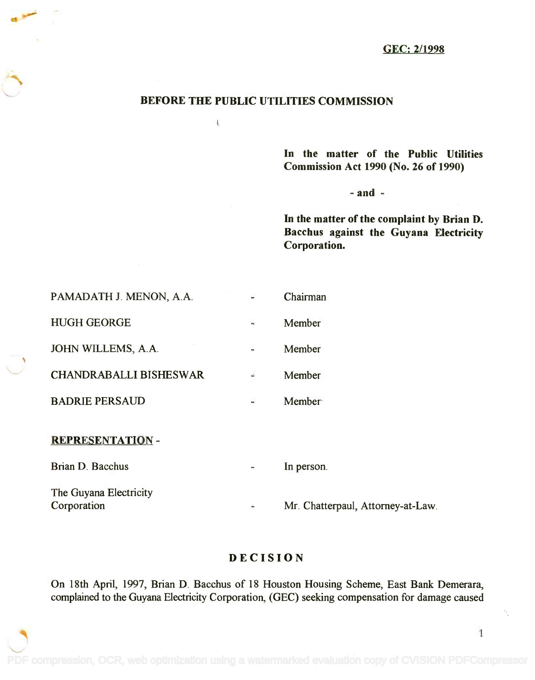## GEC: 2/1998

## BEFORE THE PUBLIC UTILITIES COMMISSION

 $\frac{1}{2}$ 

In the matter of the Public Utilities **In** the matter of the Public Utilities Commission Act 1990 (No. 26 of 1990) Commission Act 1990 (No. 26 of 1990)

 $-$  and  $-$ 

In the matter of the complaint by Brian D. In the matter of the complaint by Brian D. Bacchus against the Guyana Electricity Bacchus against the Guyana Electricity Corporation. Corporation.

| PAMADATH J. MENON, A.A.       |                | Chairman      |
|-------------------------------|----------------|---------------|
| <b>HUGH GEORGE</b>            | ÷              | Member        |
| JOHN WILLEMS, A.A.            | $\blacksquare$ | Member        |
| <b>CHANDRABALLI BISHESWAR</b> |                | Member        |
| <b>BADRIE PERSAUD</b>         |                | <b>Member</b> |
| <b>REPRESENTATION-</b>        |                |               |
| Brian D. Bacchus              |                | In person.    |

The Guyana Electricity The Guyana Electricity

Corporation

Mr. Chatterpaul, Attorney-at-Law.

## DECISION

On 18th April, 1997, Brian D. Bacchus of 18 Houston Housing Scheme, East Bank Demerara, On 18th April, 1997, Brian D. Bacchus of 18 Houston Housing Scheme, East Bank Demerara, complained to the Guyana Electricity Corporation, (GEC) seeking compensation for damage caused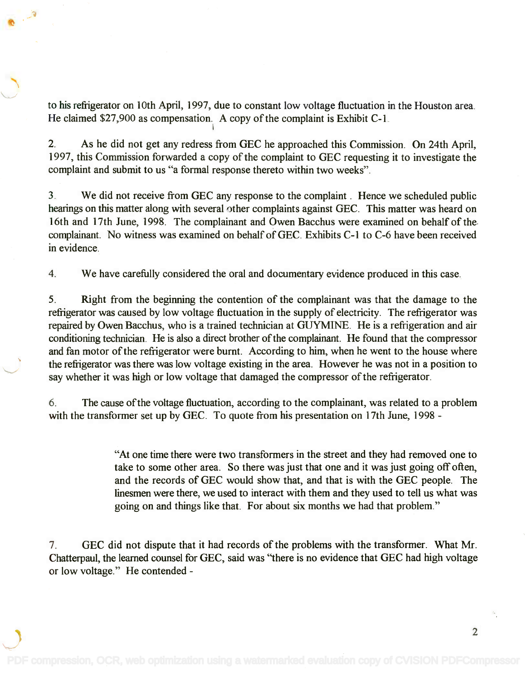to his refrigerator on 10th April, 1997, due to constant low voltage fluctuation in the Houston area. to his refiigerator on 10th April, 1997, due to constant low voltage fluctuation in the Houston area. He claimed \$27,900 as compensation. A copy of the complaint is Exhibit C-1. He claimed \$27,900 as compensation. A copy of the complaint is Exhibit C-1. I

2. As he did not get any redress from GEC he approached this Commission. On 24th April, 2. As he did not get any redress from GEC he approached this Commission. On 24th April, 1997, this Commission forwarded a copy of the complaint to GEC requesting it to investigate the 1997, this Commission forwarded a copy of the complaint to GEC requesting it to investigate the complaint and submit to us "a formal response thereto within two weeks". complaint and submit to us "a formal response thereto within two weeks".

3. We did not receive from GEC any response to the complaint . Hence we scheduled public 3. We did not receive from GEC any response to the complaint. Hence we scheduled public hearings on this matter along with several other complaints against GEC. This matter was heard on hearings on this matter along with several other complaints against GEC. This matter was heard on 16th and 17th June, 1998. The complainant and Owen Bacchus were examined on behalf of the 16th and 17th June, 1998. The complainant and Owen Bacchus were examined on behalf of the complainant. No witness was examined on behalf of GEC. Exhibits C-1 to C-6 have been received complainant. No witness was examined on behalf of GEC. Exhibits C-1 to C-6 have been received in evidence. in evidence.

4. We have carefully considered the oral and documentary evidence produced in this case.

5. Right from the beginning the contention of the complainant was that the damage to the 5. Right from the beginning the contention of the complainant was that the damage to the refrigerator was caused by low voltage fluctuation in the supply of electricity. The refrigerator was repaired by Owen Bacchus, who is a trained technician at GUYMINE. He is a refrigeration and air repaired by Owen Bacchus, who is a trained technician at GUYMINE. He is a refrigeration and air conditioning technician. He is also a direct brother of the complainant. He found that the compressor conditioning technician. He is also a direct brother of the complainant. He found that the compressor and fan motor of the refrigerator were burnt. According to him, when he went to the house where and fan motor of the refiigerator were burnt. According to him, when he went to the house where the refrigerator was there was low voltage existing in the area. However he was not in a position to the refiigerator was there was low voltage existing in the area. However he was not in a position to say whether it was high or low voltage that damaged the compressor of the refrigerator. say whether it was high or low voltage that damaged the compressor of the refiigerator.

6. The cause of the voltage fluctuation, according to the complainant, was related to a problem 6. The cause of the voltage fluctuation, according to the complainant, was related to a problem with the transformer set up by GEC. To quote from his presentation on 17th June, 1998 -

> "At one time there were two transformers in the street and they had removed one to "At one time there were two transformers in the street and they had removed one to take to some other area. So there was just that one and it was just going off often, take to some other area. So there was just that one and it was just going off often, and the records of GEC would show that, and that is with the GEC people. The and the records of GEC would show that, and that is with the GEC people. The linesmen were there, we used to interact with them and they used to tell us what was linesmen were there, we used to interact with them and they used to tell us what was going on and things like that. For about six months we had that problem." going on and things like that. For about six months we had that problem."

7. GEC did not dispute that it had records of the problems with the transformer. What Mr. 7. GEC did not dispute that it had records of the problems with the transformer. What Mr. Chatterpaul, the learned counsel for GEC, said was "there is no evidence that GEC had high voltage Chatterpaul, the learned counsel for GEC, said was "there is no evidence that GEC had high voltage or low voltage." He contended -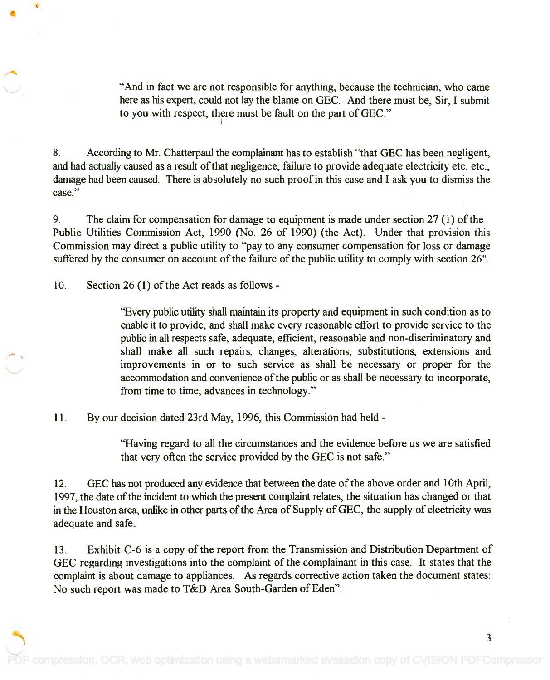"And in fact we are not responsible for anything, because the technician, who came "And in fact we are not responsible for anything, because the technician, who came here as his expert, could not lay the blame on GEC. And there must be, Sir, I submit here as his expert, could not lay the blame on GEC. And there must be, Sir, I submit to you with respect, there must be fault on the part of GEC." I

8. According to Mr. Chatterpaul the complainant has to establish "that GEC has been negligent, 8. According to Mr. Chatterpaul the complainant has to establish "that GEC has been negligent, and had actually caused as a result of that negligence, failure to provide adequate electricity etc. etc., and had actually caused as a result of that negligence, failure to provide adequate electricity etc. etc., damage had been caused. There is absolutely no such proof in this case and I ask you to dismiss the damage had been caused. There is absolutely no such proof in this case and I ask you to dismiss the case." case."

9. The claim for compensation for damage to equipment is made under section 27 (1) of the 9. The claim for compensation for damage to equipment is made under section 27 (1) of the Public Utilities Commission Act, 1990 (No. 26 of 1990) (the Act). Under that provision this Public Utilities Commission Act, 1990 (No. 26 of 1990) (the Act). Under that provision this Commission may direct a public utility to "pay to any consumer compensation for loss or damage Commission may direct a public utility to "pay to any consumer compensation for loss or damage suffered by the consumer on account of the failure of the public utility to comply with section 26". suffered by the consumer on account of the failure of the public utility to comply with section 26".

10. Section 26 (1) of the Act reads as follows -

"Every public utility shall maintain its property and equipment in such condition as to enable it to provide, and shall make every reasonable effort to provide service to the enable it to provide, and shall make every reasonable effort to provide service to the public in all respects safe, adequate, efficient, reasonable and non-discriminatory and public in all respects safe, adequate, efficient, reasonable and non-discriminatory and shall make all such repairs, changes, alterations, substitutions, extensions and shall make all such repairs, changes, alterations, substitutions, extensions and improvements in or to such service as shall be necessary or proper for the improvements in or to such service as shall be necessary or proper for the accommodation and convenience of the public or as shall be necessary to incorporate, accommodation and convenience of the public or as shall be necessary to incorporate, from time to time, advances in technology." from time to time, advances in technology."

11. By our decision dated 23rd May, 1996, this Commission had held -

"Having regard to all the circumstances and the evidence before us we are satisfied "Having regard to all the circumstances and the evidence before us we are satisfied that very often the service provided by the GEC is not safe." that very often the service provided by the GEC is not safe."

12. GEC has not produced any evidence that between the date of the above order and 10th April, 12. GEC has not produced any evidence that between the date of the above order and 10th April, 1997, the date of the incident to which the present complaint relates, the situation has changed or that 1997, the date of the incident to which the present complaint relates, the situation has changed or that in the Houston area, unlike in other parts of the Area of Supply of GEC, the supply of electricity was in the Houston area, unlike in other parts of the Area of Supply of GEC, the supply of electricity was adequate and safe. adequate and safe.

13. Exhibit C-6 is a copy of the report from the Transmission and Distribution Department of 13. Exhibit C-6 is a copy of the report from the Transmission and Distribution Department of GEC regarding investigations into the complaint of the complainant in this case. It states that the GEC regarding investigations into the complaint of the complainant in this case. It states that the complaint is about damage to appliances. As regards corrective action taken the document states: complaint is about damage to appliances. As regards corrective action taken the document states: No such report was made to T&D Area South-Garden of Eden". No such report was made to T&D Area South-Garden of Eden".

[PDF compression, OCR, web optimization using a watermarked evaluation copy of CVISION PDFCompressor](http://www.cvisiontech.com)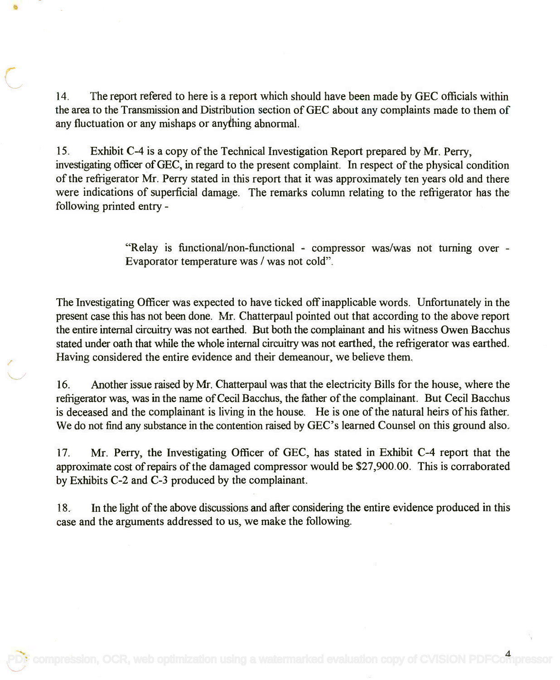14. The report refered to here is a report which should have been made by GEC officials within 14. The report refered to here is a report which should have been made by GEC officials within the area to the Transmission and Distribution section of GEC about any complaints made to them of any fluctuation or any mishaps or anything abnormal. any fluctuation or any mishaps or anything abnormal.

15. Exhibit C-4 is a copy of the Technical Investigation Report prepared by Mr. Perry, 15. Exhibit C-4 is a copy of the Technical Investigation Report prepared by Mr. Perry, investigating officer of GEC, in regard to the present complaint. In respect of the physical condition investigating officer of GEC, in regard to the present complaint. In respect of the physical condition of the refrigerator Mr. Perry stated in this report that it was approximately ten years old and there were indications of superficial damage. The remarks column relating to the refrigerator has the were indications of superficial damage. The remarks column relating to the refrigerator has the following printed entry following printed entry -

> "Relay is functional/non-functional - compressor was/was not turning over - "Relay is functional/non-functional - compressor was/was not turning over - Evaporator temperature was / was not cold". Evaporator temperature was / was not cold".

The Investigating Officer was expected to have ticked off inapplicable words. Unfortunately in the The Investigating Officer was expected to have ticked off inapplicable words. Unfortunately in the present case this has not been done. Mr. Chatterpaul pointed out that according to the above report present case this has not been done. Mr. Chatterpaul pointed out that according to the above report the entire internal circuitry was not earthed. But both the complainant and his witness Owen Bacchus the entire internal circuitry was not earthed. But both the complainant and his witness Owen Bacchus stated under oath that while the whole internal circuitry was not earthed, the refrigerator was earthed. stated under oath that while the whole internal circuitry was not earthed, the refrigerator was earthed. Having considered the entire evidence and their demeanour, we believe them. Having considered the entire evidence and their demeanour, we believe them.

16. Another issue raised by Mr. Chatterpaul was that the electricity Bills for the house, where the 16. Another issue raised by Mr. Chatterpaul was that the electricity Bills for the house, where the refrigerator was, was in the name of Cecil Bacchus, the father of the complainant. But Cecil Bacchus refrigerator was, was in the name of Cecil Bacchus, the father of the complainant. But Cecil Bacchus is deceased and the complainant is living in the house. He is one of the natural heirs of his father. is deceased and the complainant is living in the house. He is one of the natural heirs of his father. We do not find any substance in the contention raised by GEC's learned Counsel on this ground also. We do not find any substance in the contention raised by GEC's learned Counsel on this ground also.

17. Mr. Perry, the Investigating Officer of GEC, has stated in Exhibit C-4 report that the 17. Mr. Perry, the Investigating Officer of GEC, has stated in Exhibit C-4 report that the approximate cost of repairs of the damaged compressor would be \$27,900.00. This is corraborated approximate cost of repairs of the damaged compressor would be \$27,900.00. This is corraborated by Exhibits C-2 and C-3 produced by the complainant. by Exhibits C-2 and C-3 produced by the complainant.

18. In the light of the above discussions and after considering the entire evidence produced in this 18. In the light of the above discussions and after considering the entire evidence produced in this case and the arguments addressed to us, we make the following. case and the arguments addressed to us, we make the following.